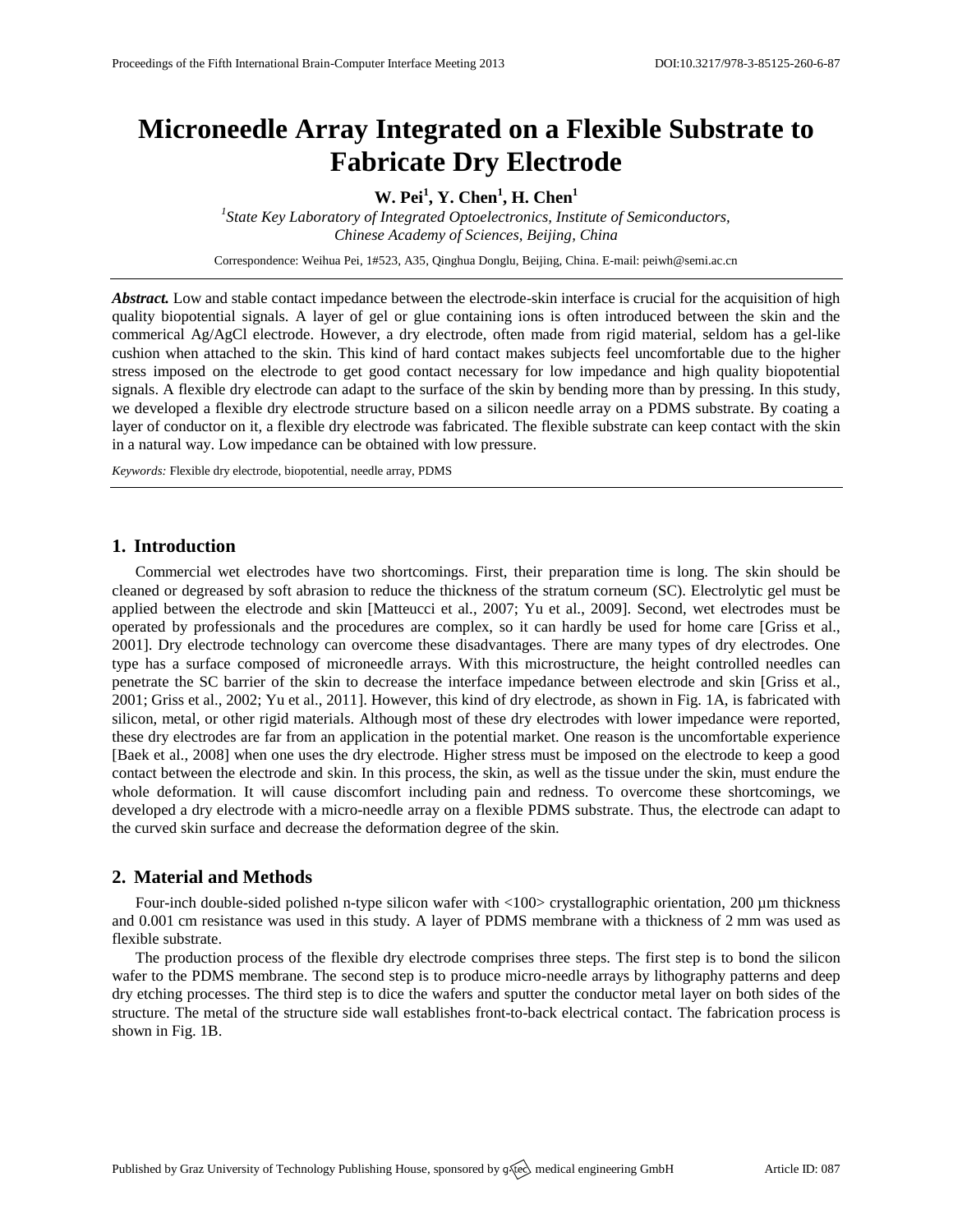# **Microneedle Array Integrated on a Flexible Substrate to Fabricate Dry Electrode**

**W. Pei<sup>1</sup> , Y. Chen<sup>1</sup> , H. Chen<sup>1</sup>**

*1 State Key Laboratory of Integrated Optoelectronics, Institute of Semiconductors, Chinese Academy of Sciences, Beijing, China*

Correspondence: Weihua Pei, 1#523, A35, Qinghua Donglu, Beijing, China. E-mail[: peiwh@semi.ac.cn](mailto:peiwh@semi.ac.cn)

*Abstract.* Low and stable contact impedance between the electrode-skin interface is crucial for the acquisition of high quality biopotential signals. A layer of gel or glue containing ions is often introduced between the skin and the commerical Ag/AgCl electrode. However, a dry electrode, often made from rigid material, seldom has a gel-like cushion when attached to the skin. This kind of hard contact makes subjects feel uncomfortable due to the higher stress imposed on the electrode to get good contact necessary for low impedance and high quality biopotential signals. A flexible dry electrode can adapt to the surface of the skin by bending more than by pressing. In this study, we developed a flexible dry electrode structure based on a silicon needle array on a PDMS substrate. By coating a layer of conductor on it, a flexible dry electrode was fabricated. The flexible substrate can keep contact with the skin in a natural way. Low impedance can be obtained with low pressure.

*Keywords:* Flexible dry electrode, biopotential, needle array, PDMS

## **1. Introduction**

Commercial wet electrodes have two shortcomings. First, their preparation time is long. The skin should be cleaned or degreased by soft abrasion to reduce the thickness of the stratum corneum (SC). Electrolytic gel must be applied between the electrode and skin [Matteucci et al., 2007; Yu et al., 2009]. Second, wet electrodes must be operated by professionals and the procedures are complex, so it can hardly be used for home care [Griss et al., 2001]. Dry electrode technology can overcome these disadvantages. There are many types of dry electrodes. One type has a surface composed of microneedle arrays. With this microstructure, the height controlled needles can penetrate the SC barrier of the skin to decrease the interface impedance between electrode and skin [Griss et al., 2001; Griss et al., 2002; Yu et al., 2011]. However, this kind of dry electrode, as shown in Fig. 1A, is fabricated with silicon, metal, or other rigid materials. Although most of these dry electrodes with lower impedance were reported, these dry electrodes are far from an application in the potential market. One reason is the uncomfortable experience [Baek et al., 2008] when one uses the dry electrode. Higher stress must be imposed on the electrode to keep a good contact between the electrode and skin. In this process, the skin, as well as the tissue under the skin, must endure the whole deformation. It will cause discomfort including pain and redness. To overcome these shortcomings, we developed a dry electrode with a micro-needle array on a flexible PDMS substrate. Thus, the electrode can adapt to the curved skin surface and decrease the deformation degree of the skin.

### **2. Material and Methods**

Four-inch double-sided polished n-type silicon wafer with <100> crystallographic orientation, 200 µm thickness and 0.001 cm resistance was used in this study. A layer of PDMS membrane with a thickness of 2 mm was used as flexible substrate.

The production process of the flexible dry electrode comprises three steps. The first step is to bond the silicon wafer to the PDMS membrane. The second step is to produce micro-needle arrays by lithography patterns and deep dry etching processes. The third step is to dice the wafers and sputter the conductor metal layer on both sides of the structure. The metal of the structure side wall establishes front-to-back electrical contact. The fabrication process is shown in Fig. 1B.